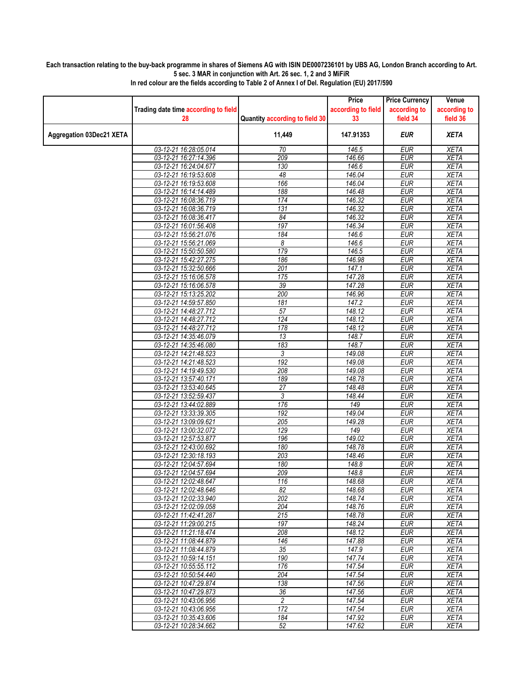## **Each transaction relating to the buy-back programme in shares of Siemens AG with ISIN DE0007236101 by UBS AG, London Branch according to Art. 5 sec. 3 MAR in conjunction with Art. 26 sec. 1, 2 and 3 MiFiR**

|                          | Trading date time according to field           |                                | Price<br>according to field | <b>Price Currency</b><br>according to | Venue<br>according to      |
|--------------------------|------------------------------------------------|--------------------------------|-----------------------------|---------------------------------------|----------------------------|
|                          | 28                                             | Quantity according to field 30 | 33                          | field 34                              | field 36                   |
| Aggregation 03Dec21 XETA |                                                | 11,449                         | 147.91353                   | <b>EUR</b>                            | <b>XETA</b>                |
|                          | 03-12-21 16:28:05.014                          | 70                             | 146.5                       | <b>EUR</b>                            | <b>XETA</b>                |
|                          | 03-12-21 16:27:14.396                          | 209                            | 146.66                      | <b>EUR</b>                            | <b>XETA</b>                |
|                          | 03-12-21 16:24:04.677                          | 130                            | 146.6                       | <b>EUR</b>                            | <b>XETA</b>                |
|                          | 03-12-21 16:19:53.608                          | 48                             | 146.04                      | <b>EUR</b>                            | <b>XETA</b>                |
|                          | 03-12-21 16:19:53.608                          | 166                            | 146.04                      | <b>EUR</b>                            | <b>XETA</b>                |
|                          | 03-12-21 16:14:14.489<br>03-12-21 16:08:36.719 | 188<br>174                     | 146.48<br>146.32            | <b>EUR</b><br><b>EUR</b>              | <b>XETA</b><br><b>XETA</b> |
|                          | 03-12-21 16:08:36.719                          | 131                            | 146.32                      | <b>EUR</b>                            | <b>XETA</b>                |
|                          | 03-12-21 16:08:36.417                          | 84                             | 146.32                      | <b>EUR</b>                            | <b>XETA</b>                |
|                          | 03-12-21 16:01:56.408                          | 197                            | 146.34                      | <b>EUR</b>                            | <b>XETA</b>                |
|                          | 03-12-21 15:56:21.076                          | 184                            | 146.6                       | <b>EUR</b>                            | <b>XETA</b>                |
|                          | 03-12-21 15:56:21.069                          | 8                              | 146.6                       | <b>EUR</b>                            | <b>XETA</b>                |
|                          | 03-12-21 15:50:50.580                          | 179                            | 146.5                       | <b>EUR</b>                            | <b>XETA</b>                |
|                          | 03-12-21 15:42:27.275                          | 186                            | 146.98                      | <b>EUR</b>                            | <b>XETA</b>                |
|                          | 03-12-21 15:32:50.666                          | $\overline{201}$               | 147.1                       | <b>EUR</b>                            | <b>XETA</b>                |
|                          | 03-12-21 15:16:06.578                          | 175                            | 147.28                      | <b>EUR</b>                            | <b>XETA</b>                |
|                          | 03-12-21 15:16:06.578                          | 39                             | 147.28                      | <b>EUR</b>                            | <b>XETA</b>                |
|                          | 03-12-21 15:13:25.202                          | 200                            | 146.96                      | <b>EUR</b>                            | <b>XETA</b>                |
|                          | 03-12-21 14:59:57.850                          | 181                            | 147.2                       | <b>EUR</b>                            | <b>XETA</b>                |
|                          | 03-12-21 14:48:27.712                          | $\overline{57}$                | 148.12                      | <b>EUR</b>                            | <b>XETA</b>                |
|                          | 03-12-21 14:48:27.712                          | 124                            | 148.12                      | <b>EUR</b>                            | <b>XETA</b>                |
|                          | 03-12-21 14:48:27.712                          | 178                            | 148.12                      | <b>EUR</b>                            | <b>XETA</b>                |
|                          | 03-12-21 14:35:46.079                          | 13                             | 148.7                       | <b>EUR</b>                            | <b>XETA</b>                |
|                          | 03-12-21 14:35:46.080                          | 183                            | 148.7                       | <b>EUR</b>                            | <b>XETA</b>                |
|                          | 03-12-21 14:21:48.523                          | 3                              | 149.08                      | <b>EUR</b>                            | <b>XETA</b>                |
|                          | 03-12-21 14:21:48.523                          | 192                            | 149.08                      | <b>EUR</b>                            | <b>XETA</b>                |
|                          | 03-12-21 14:19:49.530                          | 208<br>189                     | 149.08<br>148.78            | <b>EUR</b><br><b>EUR</b>              | <b>XETA</b><br><b>XETA</b> |
|                          | 03-12-21 13:57:40.171<br>03-12-21 13:53:40.645 | 27                             | 148.48                      | <b>EUR</b>                            | <b>XETA</b>                |
|                          | 03-12-21 13:52:59.437                          | 3                              | 148.44                      | <b>EUR</b>                            | <b>XETA</b>                |
|                          | 03-12-21 13:44:02.889                          | 176                            | 149                         | <b>EUR</b>                            | <b>XETA</b>                |
|                          | 03-12-21 13:33:39.305                          | 192                            | 149.04                      | <b>EUR</b>                            | <b>XETA</b>                |
|                          | 03-12-21 13:09:09.621                          | 205                            | 149.28                      | <b>EUR</b>                            | <b>XETA</b>                |
|                          | 03-12-21 13:00:32.072                          | 129                            | 149                         | <b>EUR</b>                            | <b>XETA</b>                |
|                          | 03-12-21 12:57:53.877                          | 196                            | 149.02                      | <b>EUR</b>                            | <b>XETA</b>                |
|                          | 03-12-21 12:43:00.692                          | 180                            | 148.78                      | <b>EUR</b>                            | <b>XETA</b>                |
|                          | 03-12-21 12:30:18.193                          | 203                            | 148.46                      | <b>EUR</b>                            | <b>XETA</b>                |
|                          | 03-12-21 12:04:57.694                          | 180                            | 148.8                       | <b>EUR</b>                            | <b>XETA</b>                |
|                          | 03-12-21 12:04:57.694                          | 209                            | 148.8                       | <b>EUR</b>                            | <b>XETA</b>                |
|                          | 03-12-21 12:02:48.647                          | 116                            | 148.68                      | <b>EUR</b>                            | <b>XETA</b>                |
|                          | 03-12-21 12:02:48.646                          | 82                             | 148.68                      | EUR                                   | <b>XETA</b>                |
|                          | 03-12-21 12:02:33.940                          | 202                            | 148.74                      | <b>EUR</b>                            | <b>XETA</b>                |
|                          | 03-12-21 12:02:09.058                          | 204                            | 148.76                      | <b>EUR</b>                            | XETA                       |
|                          | 03-12-21 11:42:41.287                          | 215                            | 148.78                      | <b>EUR</b>                            | XETA                       |
|                          | 03-12-21 11:29:00.215                          | 197                            | 148.24                      | <b>EUR</b>                            | <b>XETA</b>                |
|                          | 03-12-21 11:21:18.474                          | 208                            | 148.12                      | <b>EUR</b>                            | <b>XETA</b>                |
|                          | 03-12-21 11:08:44.879                          | 146                            | 147.88                      | <b>EUR</b>                            | <b>XETA</b>                |
|                          | 03-12-21 11:08:44.879<br>03-12-21 10:59:14.151 | 35<br>190                      | 147.9<br>147.74             | <b>EUR</b><br><b>EUR</b>              | <b>XETA</b><br>XETA        |
|                          | 03-12-21 10:55:55.112                          | 176                            | 147.54                      | <b>EUR</b>                            | <b>XETA</b>                |
|                          | 03-12-21 10:50:54.440                          | 204                            | 147.54                      | <b>EUR</b>                            | <b>XETA</b>                |
|                          | 03-12-21 10:47:29.874                          | 138                            | 147.56                      | EUR                                   | XETA                       |
|                          | 03-12-21 10:47:29.873                          | 36                             | 147.56                      | <b>EUR</b>                            | <b>XETA</b>                |
|                          | 03-12-21 10:43:06.956                          | $\overline{c}$                 | 147.54                      | <b>EUR</b>                            | <b>XETA</b>                |
|                          | 03-12-21 10:43:06.956                          | 172                            | 147.54                      | EUR                                   | XETA                       |
|                          | 03-12-21 10:35:43.606                          | 184                            | 147.92                      | <b>EUR</b>                            | <b>XETA</b>                |
|                          | 03-12-21 10:28:34.662                          | 52                             | 147.62                      | <b>EUR</b>                            | <b>XETA</b>                |

**In red colour are the fields according to Table 2 of Annex I of Del. Regulation (EU) 2017/590**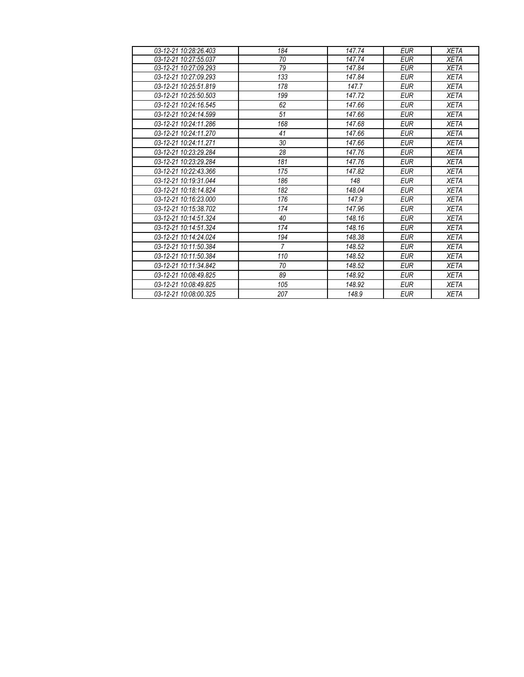| 03-12-21 10:28:26.403 | 184            | 147.74 | <b>EUR</b> | <b>XETA</b> |
|-----------------------|----------------|--------|------------|-------------|
| 03-12-21 10:27:55.037 | 70             | 147.74 | <b>EUR</b> | <b>XETA</b> |
| 03-12-21 10:27:09.293 | 79             | 147.84 | <b>EUR</b> | <b>XETA</b> |
| 03-12-21 10:27:09.293 | 133            | 147.84 | <b>EUR</b> | <b>XETA</b> |
| 03-12-21 10:25:51.819 | 178            | 147.7  | <b>EUR</b> | <b>XETA</b> |
| 03-12-21 10:25:50.503 | 199            | 147.72 | <b>EUR</b> | <b>XETA</b> |
| 03-12-21 10:24:16.545 | 62             | 147.66 | <b>EUR</b> | <b>XETA</b> |
| 03-12-21 10:24:14.599 | 51             | 147.66 | <b>EUR</b> | <b>XETA</b> |
| 03-12-21 10:24:11.286 | 168            | 147.68 | <b>EUR</b> | <b>XETA</b> |
| 03-12-21 10:24:11.270 | 41             | 147.66 | <b>EUR</b> | <b>XETA</b> |
| 03-12-21 10:24:11.271 | 30             | 147.66 | <b>EUR</b> | <b>XETA</b> |
| 03-12-21 10:23:29.284 | 28             | 147.76 | <b>EUR</b> | <b>XETA</b> |
| 03-12-21 10:23:29.284 | 181            | 147.76 | <b>EUR</b> | <b>XETA</b> |
| 03-12-21 10:22:43.366 | 175            | 147.82 | <b>EUR</b> | <b>XETA</b> |
| 03-12-21 10:19:31.044 | 186            | 148    | <b>EUR</b> | <b>XETA</b> |
| 03-12-21 10:18:14.824 | 182            | 148.04 | <b>EUR</b> | <b>XETA</b> |
| 03-12-21 10:16:23.000 | 176            | 147.9  | <b>EUR</b> | <b>XETA</b> |
| 03-12-21 10:15:38.702 | 174            | 147.96 | <b>EUR</b> | <b>XETA</b> |
| 03-12-21 10:14:51.324 | 40             | 148.16 | <b>EUR</b> | <b>XETA</b> |
| 03-12-21 10:14:51.324 | 174            | 148.16 | <b>EUR</b> | <b>XETA</b> |
| 03-12-21 10:14:24.024 | 194            | 148.38 | <b>EUR</b> | <b>XETA</b> |
| 03-12-21 10:11:50.384 | $\overline{7}$ | 148.52 | <b>EUR</b> | <b>XETA</b> |
| 03-12-21 10:11:50.384 | 110            | 148.52 | <b>EUR</b> | <b>XETA</b> |
| 03-12-21 10:11:34.842 | 70             | 148.52 | <b>EUR</b> | <b>XETA</b> |
| 03-12-21 10:08:49.825 | 89             | 148.92 | <b>EUR</b> | <b>XETA</b> |
| 03-12-21 10:08:49.825 | 105            | 148.92 | <b>EUR</b> | <b>XETA</b> |
| 03-12-21 10:08:00.325 | 207            | 148.9  | <b>EUR</b> | <b>XETA</b> |
|                       |                |        |            |             |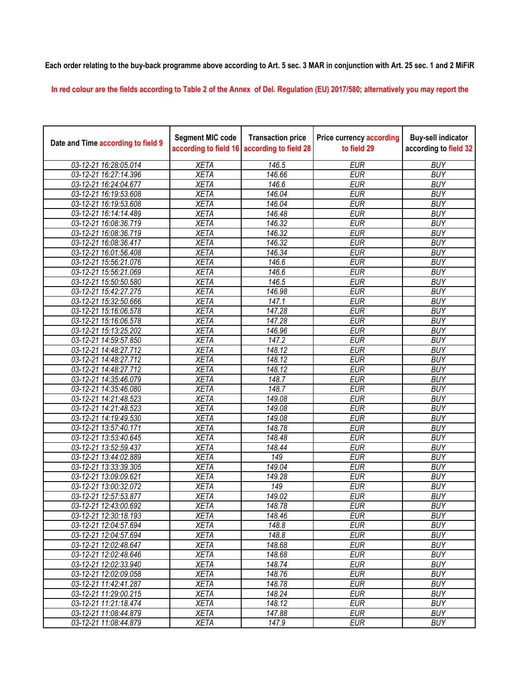**Each order relating to the buy-back programme above according to Art. 5 sec. 3 MAR in conjunction with Art. 25 sec. 1 and 2 MiFiR** 

**In red colour are the fields according to Table 2 of the Annex of Del. Regulation (EU) 2017/580; alternatively you may report the** 

| Date and Time according to field 9 | <b>Segment MIC code</b><br>according to field 16 | <b>Transaction price</b><br>according to field 28 | <b>Price currency according</b><br>to field 29 | <b>Buy-sell indicator</b><br>according to field 32 |
|------------------------------------|--------------------------------------------------|---------------------------------------------------|------------------------------------------------|----------------------------------------------------|
| 03-12-21 16:28:05.014              | <b>XETA</b>                                      | 146.5                                             | <b>EUR</b>                                     | <b>BUY</b>                                         |
| 03-12-21 16:27:14.396              | <b>XETA</b>                                      | 146.66                                            | <b>EUR</b>                                     | <b>BUY</b>                                         |
| 03-12-21 16:24:04.677              | <b>XETA</b>                                      | 146.6                                             | <b>EUR</b>                                     | <b>BUY</b>                                         |
| 03-12-21 16:19:53.608              | <b>XETA</b>                                      | 146.04                                            | <b>EUR</b>                                     | <b>BUY</b>                                         |
| 03-12-21 16:19:53.608              | <b>XETA</b>                                      | 146.04                                            | <b>EUR</b>                                     | <b>BUY</b>                                         |
| 03-12-21 16:14:14.489              | <b>XETA</b>                                      | 146.48                                            | <b>EUR</b>                                     | <b>BUY</b>                                         |
| 03-12-21 16:08:36.719              | <b>XETA</b>                                      | 146.32                                            | <b>EUR</b>                                     | <b>BUY</b>                                         |
| 03-12-21 16:08:36.719              | <b>XETA</b>                                      | 146.32                                            | <b>EUR</b>                                     | <b>BUY</b>                                         |
| 03-12-21 16:08:36.417              | <b>XETA</b>                                      | 146.32                                            | <b>EUR</b>                                     | <b>BUY</b>                                         |
| 03-12-21 16:01:56.408              | <b>XETA</b>                                      | 146.34                                            | <b>EUR</b>                                     | <b>BUY</b>                                         |
| 03-12-21 15:56:21.076              | <b>XETA</b>                                      | 146.6                                             | <b>EUR</b>                                     | <b>BUY</b>                                         |
| 03-12-21 15:56:21.069              | <b>XETA</b>                                      | 146.6                                             | <b>EUR</b>                                     | <b>BUY</b>                                         |
| 03-12-21 15:50:50.580              | <b>XETA</b>                                      | 146.5                                             | <b>EUR</b>                                     | <b>BUY</b>                                         |
| 03-12-21 15:42:27.275              | <b>XETA</b>                                      | 146.98                                            | <b>EUR</b>                                     | <b>BUY</b>                                         |
| 03-12-21 15:32:50.666              | <b>XETA</b>                                      | 147.1                                             | <b>EUR</b>                                     | <b>BUY</b>                                         |
| 03-12-21 15:16:06.578              | <b>XETA</b>                                      | 147.28                                            | <b>EUR</b>                                     | <b>BUY</b>                                         |
| 03-12-21 15:16:06.578              | <b>XETA</b>                                      | 147.28                                            | <b>EUR</b>                                     | <b>BUY</b>                                         |
| 03-12-21 15:13:25.202              | <b>XETA</b>                                      | 146.96                                            | <b>EUR</b>                                     | <b>BUY</b>                                         |
| 03-12-21 14:59:57.850              | <b>XETA</b>                                      | 147.2                                             | <b>EUR</b>                                     | <b>BUY</b>                                         |
| 03-12-21 14:48:27.712              | <b>XETA</b>                                      | 148.12                                            | <b>EUR</b>                                     | <b>BUY</b>                                         |
| 03-12-21 14:48:27.712              | <b>XETA</b>                                      | 148.12                                            | <b>EUR</b>                                     | <b>BUY</b>                                         |
| 03-12-21 14:48:27.712              | <b>XETA</b>                                      | 148.12                                            | <b>EUR</b>                                     | <b>BUY</b>                                         |
| 03-12-21 14:35:46.079              | <b>XETA</b>                                      | 148.7                                             | <b>EUR</b>                                     | <b>BUY</b>                                         |
| 03-12-21 14:35:46.080              | <b>XETA</b>                                      | 148.7                                             | <b>EUR</b>                                     | <b>BUY</b>                                         |
| 03-12-21 14:21:48.523              | <b>XETA</b>                                      | 149.08                                            | <b>EUR</b>                                     | <b>BUY</b>                                         |
| 03-12-21 14:21:48.523              | <b>XETA</b>                                      | 149.08                                            | <b>EUR</b>                                     | <b>BUY</b>                                         |
| 03-12-21 14:19:49.530              | <b>XETA</b>                                      | 149.08                                            | <b>EUR</b>                                     | <b>BUY</b>                                         |
| 03-12-21 13:57:40.171              | <b>XETA</b>                                      | 148.78                                            | <b>EUR</b>                                     | <b>BUY</b>                                         |
| 03-12-21 13:53:40.645              | <b>XETA</b>                                      | 148.48                                            | <b>EUR</b>                                     | <b>BUY</b>                                         |
| 03-12-21 13:52:59.437              | <b>XETA</b>                                      | 148.44                                            | <b>EUR</b>                                     | <b>BUY</b>                                         |
| 03-12-21 13:44:02.889              | <b>XETA</b>                                      | 149                                               | <b>EUR</b>                                     | <b>BUY</b>                                         |
| 03-12-21 13:33:39.305              | <b>XETA</b>                                      | 149.04                                            | <b>EUR</b>                                     | <b>BUY</b>                                         |
| 03-12-21 13:09:09.621              | <b>XETA</b>                                      | 149.28                                            | <b>EUR</b>                                     | <b>BUY</b>                                         |
| 03-12-21 13:00:32.072              | <b>XETA</b>                                      | 149                                               | <b>EUR</b>                                     | <b>BUY</b>                                         |
| 03-12-21 12:57:53.877              | <b>XETA</b>                                      | 149.02                                            | <b>EUR</b>                                     | <b>BUY</b>                                         |
| 03-12-21 12:43:00.692              | <b>XETA</b>                                      | 148.78                                            | <b>EUR</b>                                     | <b>BUY</b>                                         |
| 03-12-21 12:30:18.193              | <b>XETA</b>                                      | 148.46                                            | <b>EUR</b>                                     | <b>BUY</b>                                         |
| 03-12-21 12:04:57.694              | <b>XETA</b>                                      | 148.8                                             | <b>EUR</b>                                     | <b>BUY</b>                                         |
| 03-12-21 12:04:57.694              | <b>XETA</b>                                      | 148.8                                             | <b>EUR</b>                                     | <b>BUY</b>                                         |
| 03-12-21 12:02:48.647              | <b>XETA</b>                                      | 148.68                                            | <b>EUR</b>                                     | <b>BUY</b>                                         |
| 03-12-21 12:02:48.646              | <b>XETA</b>                                      | 148.68                                            | <b>EUR</b>                                     | <b>BUY</b>                                         |
| 03-12-21 12:02:33.940              | <b>XETA</b>                                      | 148.74                                            | <b>EUR</b>                                     | <b>BUY</b>                                         |
| 03-12-21 12:02:09.058              | <b>XETA</b>                                      | 148.76                                            | <b>EUR</b>                                     | <b>BUY</b>                                         |
| 03-12-21 11:42:41.287              | <b>XETA</b>                                      | 148.78                                            | <b>EUR</b>                                     | <b>BUY</b>                                         |
| 03-12-21 11:29:00.215              | <b>XETA</b>                                      | 148.24                                            | <b>EUR</b>                                     | <b>BUY</b>                                         |
| 03-12-21 11:21:18.474              | <b>XETA</b>                                      | 148.12                                            | <b>EUR</b>                                     | <b>BUY</b>                                         |
| 03-12-21 11:08:44.879              | <b>XETA</b>                                      | 147.88                                            | <b>EUR</b>                                     | <b>BUY</b>                                         |
| 03-12-21 11:08:44.879              | <b>XETA</b>                                      | 147.9                                             | EUR                                            | <b>BUY</b>                                         |